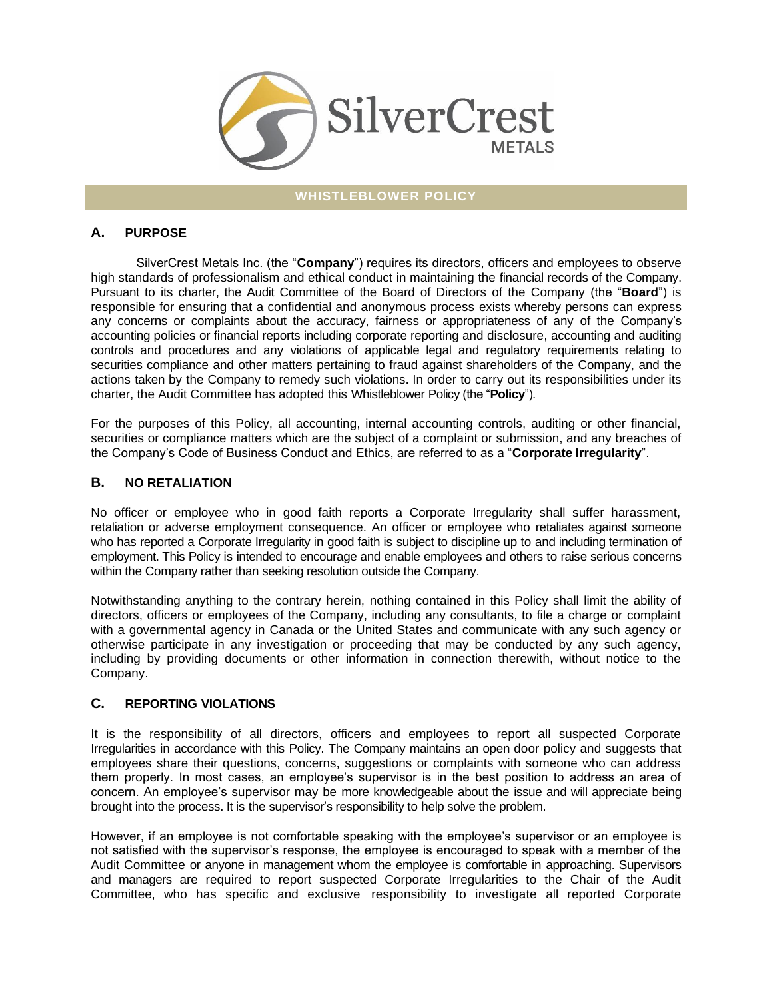

## **WHISTLEBLOWER POLICY**

# **A. PURPOSE**

SilverCrest Metals Inc. (the "**Company**") requires its directors, officers and employees to observe high standards of professionalism and ethical conduct in maintaining the financial records of the Company. Pursuant to its charter, the Audit Committee of the Board of Directors of the Company (the "**Board**") is responsible for ensuring that a confidential and anonymous process exists whereby persons can express any concerns or complaints about the accuracy, fairness or appropriateness of any of the Company's accounting policies or financial reports including corporate reporting and disclosure, accounting and auditing controls and procedures and any violations of applicable legal and regulatory requirements relating to securities compliance and other matters pertaining to fraud against shareholders of the Company, and the actions taken by the Company to remedy such violations. In order to carry out its responsibilities under its charter, the Audit Committee has adopted this Whistleblower Policy (the "**Policy**").

For the purposes of this Policy, all accounting, internal accounting controls, auditing or other financial, securities or compliance matters which are the subject of a complaint or submission, and any breaches of the Company's Code of Business Conduct and Ethics, are referred to as a "**Corporate Irregularity**".

### **B. NO RETALIATION**

No officer or employee who in good faith reports a Corporate Irregularity shall suffer harassment, retaliation or adverse employment consequence. An officer or employee who retaliates against someone who has reported a Corporate Irregularity in good faith is subject to discipline up to and including termination of employment. This Policy is intended to encourage and enable employees and others to raise serious concerns within the Company rather than seeking resolution outside the Company.

Notwithstanding anything to the contrary herein, nothing contained in this Policy shall limit the ability of directors, officers or employees of the Company, including any consultants, to file a charge or complaint with a governmental agency in Canada or the United States and communicate with any such agency or otherwise participate in any investigation or proceeding that may be conducted by any such agency, including by providing documents or other information in connection therewith, without notice to the Company.

### **C. REPORTING VIOLATIONS**

It is the responsibility of all directors, officers and employees to report all suspected Corporate Irregularities in accordance with this Policy. The Company maintains an open door policy and suggests that employees share their questions, concerns, suggestions or complaints with someone who can address them properly. In most cases, an employee's supervisor is in the best position to address an area of concern. An employee's supervisor may be more knowledgeable about the issue and will appreciate being brought into the process. It is the supervisor's responsibility to help solve the problem.

However, if an employee is not comfortable speaking with the employee's supervisor or an employee is not satisfied with the supervisor's response, the employee is encouraged to speak with a member of the Audit Committee or anyone in management whom the employee is comfortable in approaching. Supervisors and managers are required to report suspected Corporate Irregularities to the Chair of the Audit Committee, who has specific and exclusive responsibility to investigate all reported Corporate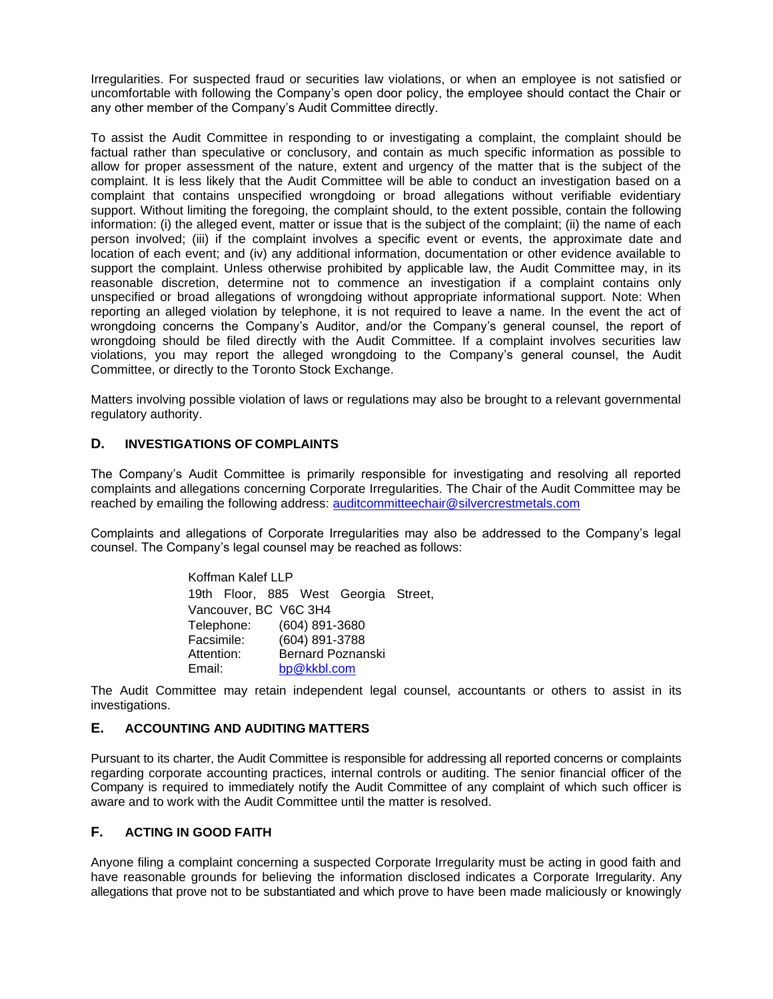Irregularities. For suspected fraud or securities law violations, or when an employee is not satisfied or uncomfortable with following the Company's open door policy, the employee should contact the Chair or any other member of the Company's Audit Committee directly.

To assist the Audit Committee in responding to or investigating a complaint, the complaint should be factual rather than speculative or conclusory, and contain as much specific information as possible to allow for proper assessment of the nature, extent and urgency of the matter that is the subject of the complaint. It is less likely that the Audit Committee will be able to conduct an investigation based on a complaint that contains unspecified wrongdoing or broad allegations without verifiable evidentiary support. Without limiting the foregoing, the complaint should, to the extent possible, contain the following information: (i) the alleged event, matter or issue that is the subject of the complaint; (ii) the name of each person involved; (iii) if the complaint involves a specific event or events, the approximate date and location of each event; and (iv) any additional information, documentation or other evidence available to support the complaint. Unless otherwise prohibited by applicable law, the Audit Committee may, in its reasonable discretion, determine not to commence an investigation if a complaint contains only unspecified or broad allegations of wrongdoing without appropriate informational support. Note: When reporting an alleged violation by telephone, it is not required to leave a name. In the event the act of wrongdoing concerns the Company's Auditor, and/or the Company's general counsel, the report of wrongdoing should be filed directly with the Audit Committee. If a complaint involves securities law violations, you may report the alleged wrongdoing to the Company's general counsel, the Audit Committee, or directly to the Toronto Stock Exchange.

Matters involving possible violation of laws or regulations may also be brought to a relevant governmental regulatory authority.

### **D. INVESTIGATIONS OF COMPLAINTS**

The Company's Audit Committee is primarily responsible for investigating and resolving all reported complaints and allegations concerning Corporate Irregularities. The Chair of the Audit Committee may be reached by emailing the following address: [auditcommitteechair@silvercrestmetals.com](mailto:auditcommitteechair@silvercrestmetals.com)

Complaints and allegations of Corporate Irregularities may also be addressed to the Company's legal counsel. The Company's legal counsel may be reached as follows:

> Koffman Kalef LLP 19th Floor, 885 West Georgia Street, Vancouver, BC V6C 3H4 Telephone: (604) 891-3680 Facsimile: (604) 891-3788 Attention: Bernard Poznanski Email: [bp@kkbl.com](mailto:bp@kkbl.com)

The Audit Committee may retain independent legal counsel, accountants or others to assist in its investigations.

#### **E. ACCOUNTING AND AUDITING MATTERS**

Pursuant to its charter, the Audit Committee is responsible for addressing all reported concerns or complaints regarding corporate accounting practices, internal controls or auditing. The senior financial officer of the Company is required to immediately notify the Audit Committee of any complaint of which such officer is aware and to work with the Audit Committee until the matter is resolved.

# **F. ACTING IN GOOD FAITH**

Anyone filing a complaint concerning a suspected Corporate Irregularity must be acting in good faith and have reasonable grounds for believing the information disclosed indicates a Corporate Irregularity. Any allegations that prove not to be substantiated and which prove to have been made maliciously or knowingly